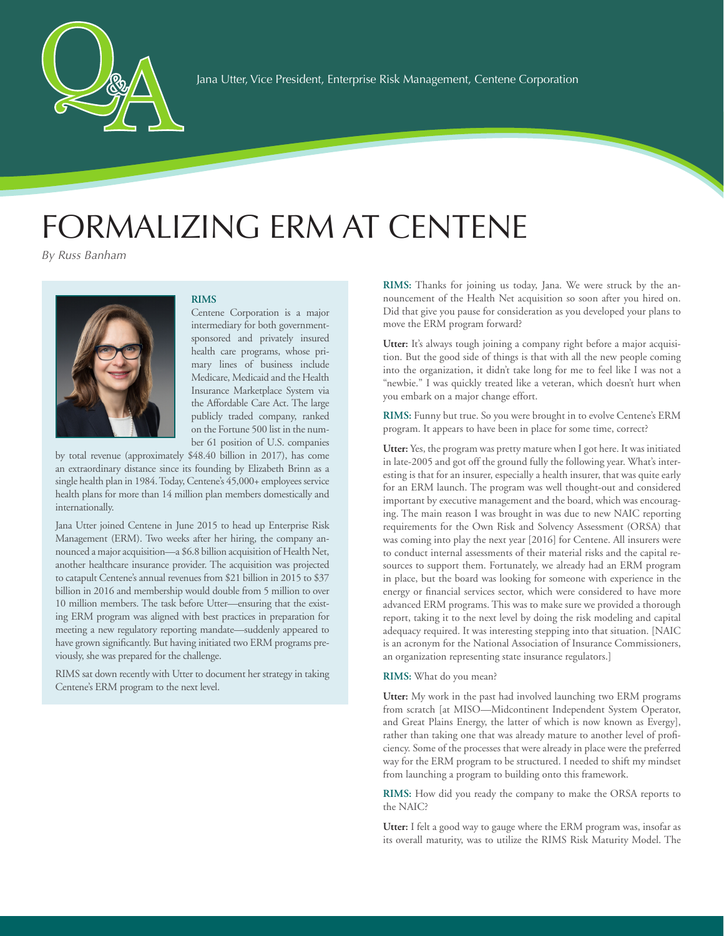

## FORMALIZING ERM AT CENTENE

*By Russ Banham*

Pamela G. Rogers

## **RIMS**

Centene Corporation is a major intermediary for both governmentsponsored and privately insured health care programs, whose primary lines of business include Medicare, Medicaid and the Health Insurance Marketplace System via the Affordable Care Act. The large publicly traded company, ranked on the Fortune 500 list in the number 61 position of U.S. companies

by total revenue (approximately \$48.40 billion in 2017), has come an extraordinary distance since its founding by Elizabeth Brinn as a single health plan in 1984. Today, Centene's 45,000+ employees service health plans for more than 14 million plan members domestically and internationally.

Jana Utter joined Centene in June 2015 to head up Enterprise Risk Management (ERM). Two weeks after her hiring, the company announced a major acquisition—a \$6.8 billion acquisition of Health Net, another healthcare insurance provider. The acquisition was projected to catapult Centene's annual revenues from \$21 billion in 2015 to \$37 billion in 2016 and membership would double from 5 million to over 10 million members. The task before Utter—ensuring that the existing ERM program was aligned with best practices in preparation for meeting a new regulatory reporting mandate—suddenly appeared to have grown significantly. But having initiated two ERM programs previously, she was prepared for the challenge.

RIMS sat down recently with Utter to document her strategy in taking Centene's ERM program to the next level.

**RIMS:** Thanks for joining us today, Jana. We were struck by the announcement of the Health Net acquisition so soon after you hired on. Did that give you pause for consideration as you developed your plans to move the ERM program forward?

Utter: It's always tough joining a company right before a major acquisition. But the good side of things is that with all the new people coming into the organization, it didn't take long for me to feel like I was not a "newbie." I was quickly treated like a veteran, which doesn't hurt when you embark on a major change effort.

**RIMS:** Funny but true. So you were brought in to evolve Centene's ERM program. It appears to have been in place for some time, correct?

**Utter:** Yes, the program was pretty mature when I got here. It was initiated in late-2005 and got off the ground fully the following year. What's interesting is that for an insurer, especially a health insurer, that was quite early for an ERM launch. The program was well thought-out and considered important by executive management and the board, which was encouraging. The main reason I was brought in was due to new NAIC reporting requirements for the Own Risk and Solvency Assessment (ORSA) that was coming into play the next year [2016] for Centene. All insurers were to conduct internal assessments of their material risks and the capital resources to support them. Fortunately, we already had an ERM program in place, but the board was looking for someone with experience in the energy or financial services sector, which were considered to have more advanced ERM programs. This was to make sure we provided a thorough report, taking it to the next level by doing the risk modeling and capital adequacy required. It was interesting stepping into that situation. [NAIC is an acronym for the National Association of Insurance Commissioners, an organization representing state insurance regulators.]

## **RIMS:** What do you mean?

**Utter:** My work in the past had involved launching two ERM programs from scratch [at MISO—Midcontinent Independent System Operator, and Great Plains Energy, the latter of which is now known as Evergy], rather than taking one that was already mature to another level of proficiency. Some of the processes that were already in place were the preferred way for the ERM program to be structured. I needed to shift my mindset from launching a program to building onto this framework.

**RIMS:** How did you ready the company to make the ORSA reports to the NAIC?

**Utter:** I felt a good way to gauge where the ERM program was, insofar as its overall maturity, was to utilize the RIMS Risk Maturity Model. The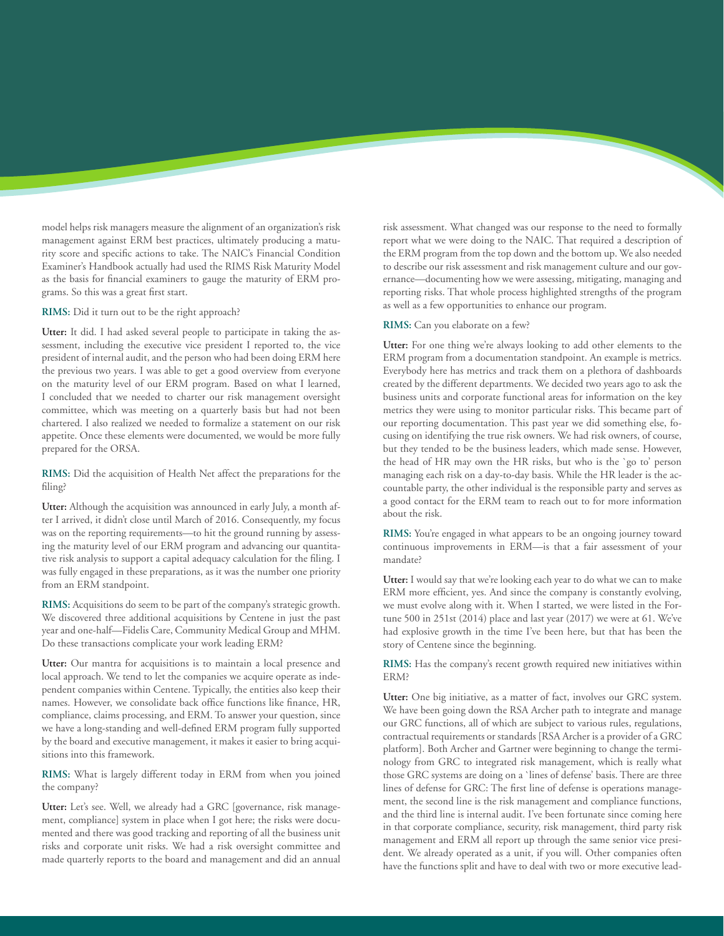model helps risk managers measure the alignment of an organization's risk management against ERM best practices, ultimately producing a maturity score and specific actions to take. The NAIC's Financial Condition Examiner's Handbook actually had used the RIMS Risk Maturity Model as the basis for financial examiners to gauge the maturity of ERM programs. So this was a great first start.

**RIMS:** Did it turn out to be the right approach?

**Utter:** It did. I had asked several people to participate in taking the assessment, including the executive vice president I reported to, the vice president of internal audit, and the person who had been doing ERM here the previous two years. I was able to get a good overview from everyone on the maturity level of our ERM program. Based on what I learned, I concluded that we needed to charter our risk management oversight committee, which was meeting on a quarterly basis but had not been chartered. I also realized we needed to formalize a statement on our risk appetite. Once these elements were documented, we would be more fully prepared for the ORSA.

**RIMS:** Did the acquisition of Health Net affect the preparations for the filing?

**Utter:** Although the acquisition was announced in early July, a month after I arrived, it didn't close until March of 2016. Consequently, my focus was on the reporting requirements—to hit the ground running by assessing the maturity level of our ERM program and advancing our quantitative risk analysis to support a capital adequacy calculation for the filing. I was fully engaged in these preparations, as it was the number one priority from an ERM standpoint.

**RIMS:** Acquisitions do seem to be part of the company's strategic growth. We discovered three additional acquisitions by Centene in just the past year and one-half—Fidelis Care, Community Medical Group and MHM. Do these transactions complicate your work leading ERM?

**Utter:** Our mantra for acquisitions is to maintain a local presence and local approach. We tend to let the companies we acquire operate as independent companies within Centene. Typically, the entities also keep their names. However, we consolidate back office functions like finance, HR, compliance, claims processing, and ERM. To answer your question, since we have a long-standing and well-defined ERM program fully supported by the board and executive management, it makes it easier to bring acquisitions into this framework.

**RIMS:** What is largely different today in ERM from when you joined the company?

**Utter:** Let's see. Well, we already had a GRC [governance, risk management, compliance] system in place when I got here; the risks were documented and there was good tracking and reporting of all the business unit risks and corporate unit risks. We had a risk oversight committee and made quarterly reports to the board and management and did an annual

risk assessment. What changed was our response to the need to formally report what we were doing to the NAIC. That required a description of the ERM program from the top down and the bottom up. We also needed to describe our risk assessment and risk management culture and our governance—documenting how we were assessing, mitigating, managing and reporting risks. That whole process highlighted strengths of the program as well as a few opportunities to enhance our program.

**RIMS:** Can you elaborate on a few?

**Utter:** For one thing we're always looking to add other elements to the ERM program from a documentation standpoint. An example is metrics. Everybody here has metrics and track them on a plethora of dashboards created by the different departments. We decided two years ago to ask the business units and corporate functional areas for information on the key metrics they were using to monitor particular risks. This became part of our reporting documentation. This past year we did something else, focusing on identifying the true risk owners. We had risk owners, of course, but they tended to be the business leaders, which made sense. However, the head of HR may own the HR risks, but who is the `go to' person managing each risk on a day-to-day basis. While the HR leader is the accountable party, the other individual is the responsible party and serves as a good contact for the ERM team to reach out to for more information about the risk.

**RIMS:** You're engaged in what appears to be an ongoing journey toward continuous improvements in ERM—is that a fair assessment of your mandate?

**Utter:** I would say that we're looking each year to do what we can to make ERM more efficient, yes. And since the company is constantly evolving, we must evolve along with it. When I started, we were listed in the Fortune 500 in 251st (2014) place and last year (2017) we were at 61. We've had explosive growth in the time I've been here, but that has been the story of Centene since the beginning.

**RIMS:** Has the company's recent growth required new initiatives within ERM?

**Utter:** One big initiative, as a matter of fact, involves our GRC system. We have been going down the RSA Archer path to integrate and manage our GRC functions, all of which are subject to various rules, regulations, contractual requirements or standards [RSA Archer is a provider of a GRC platform]. Both Archer and Gartner were beginning to change the terminology from GRC to integrated risk management, which is really what those GRC systems are doing on a `lines of defense' basis. There are three lines of defense for GRC: The first line of defense is operations management, the second line is the risk management and compliance functions, and the third line is internal audit. I've been fortunate since coming here in that corporate compliance, security, risk management, third party risk management and ERM all report up through the same senior vice president. We already operated as a unit, if you will. Other companies often have the functions split and have to deal with two or more executive lead-